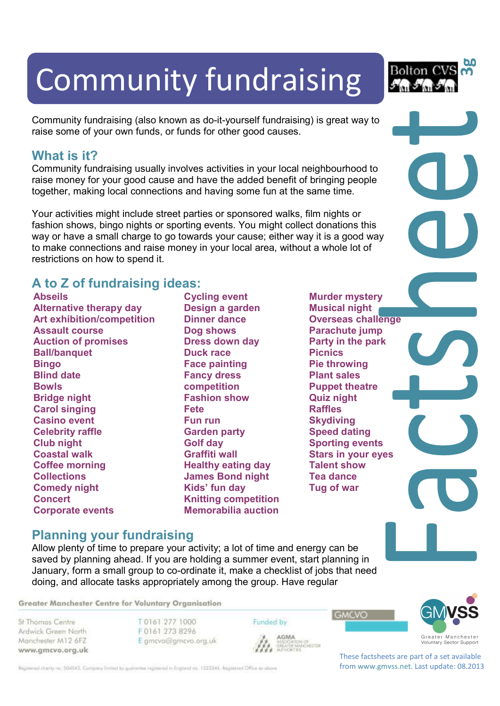# Community fundraising

Community fundraising (also known as do-it-yourself fundraising) is great way to raise some of your own funds, or funds for other good causes.

#### **What is it?**

Community fundraising usually involves activities in your local neighbourhood to raise money for your good cause and have the added benefit of bringing people together, making local connections and having some fun at the same time.

Your activities might include street parties or sponsored walks, film nights or fashion shows, bingo nights or sporting events. You might collect donations this way or have a small charge to go towards your cause; either way it is a good way to make connections and raise money in your local area, without a whole lot of restrictions on how to spend it.

### **A to Z of fundraising ideas:**

**Abseils Alternative therapy day Art exhibition/competition Assault course Auction of promises Ball/banquet Bingo Blind date Bowls Bridge night Carol singing Casino event Celebrity raffle Club night Coastal walk Coffee morning Collections Comedy night Concert Corporate events** 

**Cycling event Design a garden Dinner dance Dog shows Dress down day Duck race Face painting Fancy dress competition Fashion show Fete Fun run Garden party Golf day Graffiti wall Healthy eating day James Bond night Kids' fun day Knitting competition Memorabilia auction** 

**Murder mystery Musical night Overseas challenge Parachute jump Party in the park Picnics Pie throwing Plant sales Puppet theatre Quiz night Raffles Skydiving Speed dating Sporting events Stars in your eyes Talent show Tea dance Tug of war**

#### **Planning your fundraising**

Allow plenty of time to prepare your activity; a lot of time and energy can be saved by planning ahead. If you are holding a summer event, start planning in January, form a small group to co-ordinate it, make a checklist of jobs that need doing, and allocate tasks appropriately among the group. Have regular

Greater Manchester Centre for Voluntary Organisation

St Thomas Centre Ardwick Green North Manchester M12 6FZ www.gmcvo.org.uk T0161 277 1000 F0161 273 8296 E gmcvo@gmcvo.org.uk **GMCVO** 



AGMA **AGMA**<br>ASSOCIATION OF<br>GREATER MANCHESTER<br>AUTHORITIES

Funded by



These factsheets are part of a set available from www.gmvss.net. Last update: 08.2013

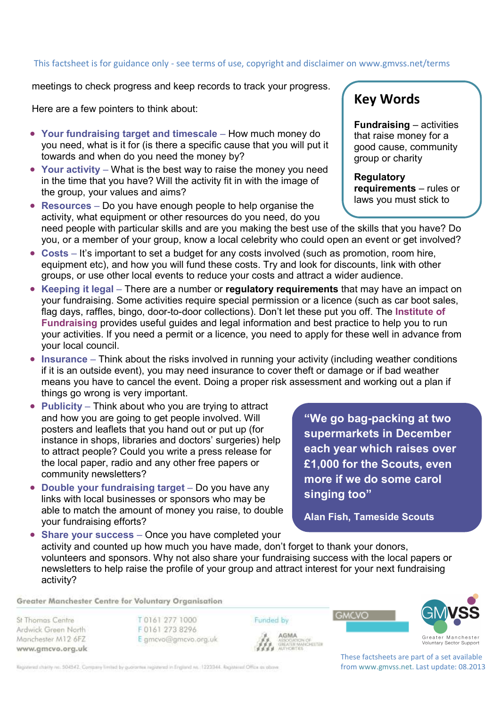## This factsheet is for guidance only - see terms of use, copyright and disclaimer on www.gmvss.net/terms

meetings to check progress and keep records to track your progress.

Here are a few pointers to think about:

- **Your fundraising target and timescale** How much money do you need, what is it for (is there a specific cause that you will put it towards and when do you need the money by?
- **Your activity** What is the best way to raise the money you need in the time that you have? Will the activity fit in with the image of the group, your values and aims?
- **Resources** Do you have enough people to help organise the activity, what equipment or other resources do you need, do you need people with particular skills and are you making the best use of the skills that you have? Do you, or a member of your group, know a local celebrity who could open an event or get involved?
- **Costs** It's important to set a budget for any costs involved (such as promotion, room hire, equipment etc), and how you will fund these costs. Try and look for discounts, link with other groups, or use other local events to reduce your costs and attract a wider audience.
- **Keeping it legal** There are a number or **regulatory requirements** that may have an impact on your fundraising. Some activities require special permission or a licence (such as car boot sales, flag days, raffles, bingo, door-to-door collections). Don't let these put you off. The **Institute of Fundraising** provides useful guides and legal information and best practice to help you to run your activities. If you need a permit or a licence, you need to apply for these well in advance from your local council.
- **Insurance** Think about the risks involved in running your activity (including weather conditions if it is an outside event), you may need insurance to cover theft or damage or if bad weather means you have to cancel the event. Doing a proper risk assessment and working out a plan if things go wrong is very important.
- **Publicity** Think about who you are trying to attract and how you are going to get people involved. Will posters and leaflets that you hand out or put up (for instance in shops, libraries and doctors' surgeries) help to attract people? Could you write a press release for the local paper, radio and any other free papers or community newsletters?
- **Double your fundraising target** Do you have any links with local businesses or sponsors who may be able to match the amount of money you raise, to double your fundraising efforts?

**"We go bag-packing at two supermarkets in December each year which raises over £1,000 for the Scouts, even more if we do some carol singing too"** 

**Alan Fish, Tameside Scouts** 

**GMCVO** 

• **Share your success** – Once you have completed your activity and counted up how much you have made, don't forget to thank your donors, volunteers and sponsors. Why not also share your fundraising success with the local papers or newsletters to help raise the profile of your group and attract interest for your next fundraising activity?

Greater Manchester Centre for Voluntary Organisation

St Thomas Centre Ardwick Green North Manchester M12 6FZ www.gmcvo.org.uk T0161 277 1000 F0161 273 8296 E gmcvo@gmcvo.org.uk Funded by AGMA



These factsheets are part of a set available from www.gmvss.net. Last update: 08.2013

**Key Words** 

**Fundraising** – activities that raise money for a good cause, community group or charity

**Regulatory requirements** – rules or laws you must stick to

Registered charity no. 504542. Company limited by guarantee registered in England no. 1223344. Registered Office as obove